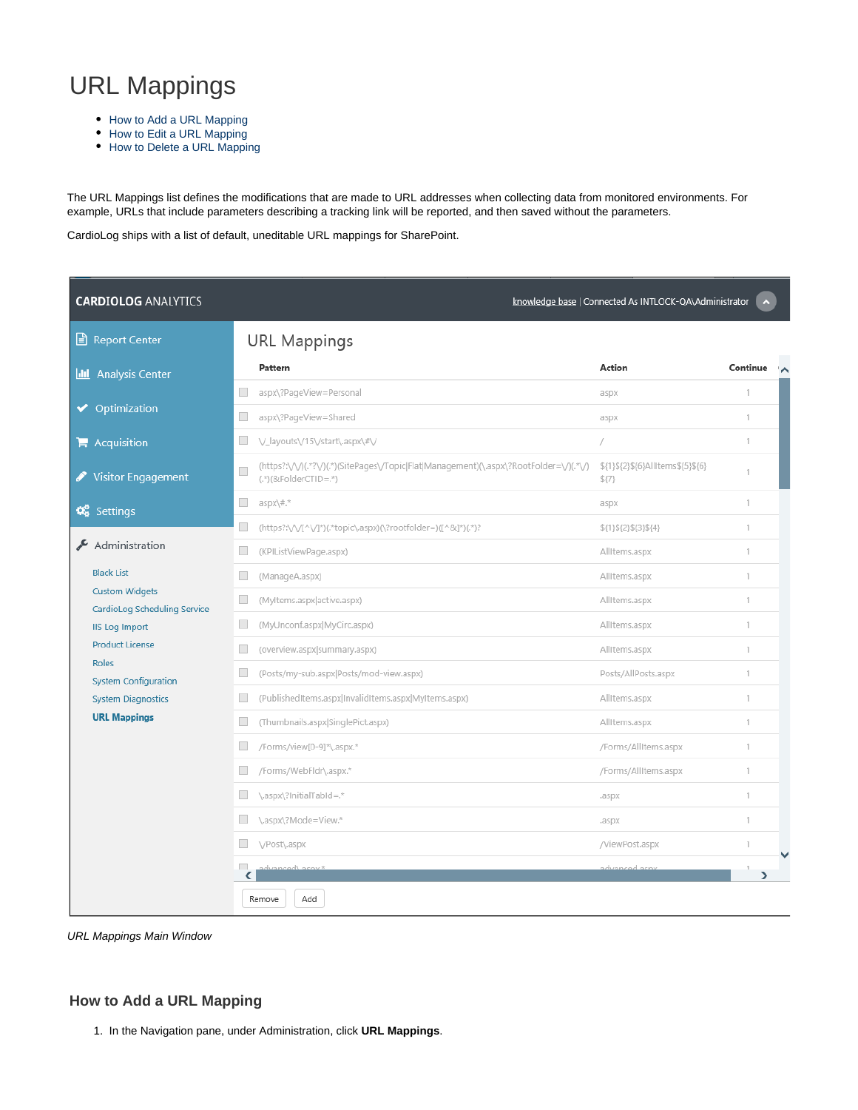## URL Mappings

- [How to Add a URL Mapping](#page-0-0)
- [How to Edit a URL Mapping](#page-1-0)
- [How to Delete a URL Mapping](#page-2-0)

The URL Mappings list defines the modifications that are made to URL addresses when collecting data from monitored environments. For example, URLs that include parameters describing a tracking link will be reported, and then saved without the parameters.

CardioLog ships with a list of default, uneditable URL mappings for SharePoint.

| <b>CARDIOLOG ANALYTICS</b><br>knowledge base   Connected As INTLOCK-QA\Administrator |                             |                                                                                                                 |                                          |          |  |  |  |  |  |
|--------------------------------------------------------------------------------------|-----------------------------|-----------------------------------------------------------------------------------------------------------------|------------------------------------------|----------|--|--|--|--|--|
| Report Center                                                                        |                             | <b>URL Mappings</b>                                                                                             |                                          |          |  |  |  |  |  |
| <b>II</b> Analysis Center                                                            |                             | Pattern                                                                                                         | Action                                   | Continue |  |  |  |  |  |
|                                                                                      |                             | aspx\?PageView=Personal                                                                                         | aspx                                     | 1        |  |  |  |  |  |
| Optimization                                                                         | $\overline{\phantom{a}}$    | aspx\?PageView=Shared                                                                                           | aspx                                     | 1.       |  |  |  |  |  |
| $\blacktriangleright$ Acquisition                                                    | $\overline{\phantom{a}}$    | V_layouts\/15\/start\.aspx\#\/                                                                                  | 7                                        | 1.       |  |  |  |  |  |
| <b>Visitor Engagement</b>                                                            | П                           | (https?:\/\/)(.*?\/)(.*)(SitePages\/Topic Flat Management)(\.aspx\?RootFolder=\/)(.*\/)<br>(.*)(&FolderCTID=.*) | \${1}\${2}\${6}AllItems\${5}\${6}<br>\$7 | 1.       |  |  |  |  |  |
| <b>D</b> <sub>6</sub> Settings                                                       | $\overline{\phantom{a}}$    | $aspx\nmid #.*$                                                                                                 | aspx                                     | 1.       |  |  |  |  |  |
|                                                                                      |                             | (https?:\/\/[^\/]*)(.*topic\.aspx)(\?rootfolder=)([^&]*)(.*)?                                                   | \${1}\${2}\${3}\${4}                     | 1.       |  |  |  |  |  |
| Administration                                                                       |                             | (KPIListViewPage.aspx)                                                                                          | AllItems.aspx                            | 1        |  |  |  |  |  |
| <b>Black List</b>                                                                    |                             | (ManageA.aspx)                                                                                                  | AllItems.aspx                            | 1.       |  |  |  |  |  |
| <b>Custom Widgets</b><br>CardioLog Scheduling Service                                | $\Box$                      | (Myltems.aspx active.aspx)                                                                                      | AllItems.aspx                            | 1        |  |  |  |  |  |
| <b>IIS Log Import</b>                                                                | $\Box$                      | (MyUnconf.aspx MyCirc.aspx)                                                                                     | AllItems.aspx                            | 1        |  |  |  |  |  |
| <b>Product License</b>                                                               |                             | (overview.aspx summary.aspx)                                                                                    | AllItems.aspx                            | 1        |  |  |  |  |  |
| Roles<br><b>System Configuration</b>                                                 | $\Box$                      | (Posts/my-sub.aspx Posts/mod-view.aspx)                                                                         | Posts/AllPosts.aspx                      | 1.       |  |  |  |  |  |
| <b>System Diagnostics</b>                                                            | $\Box$                      | (PublishedItems.aspx InvalidItems.aspx MyItems.aspx)                                                            | AllItems.aspx                            | 1.       |  |  |  |  |  |
| <b>URL Mappings</b>                                                                  | <b>Tall</b>                 | (Thumbnails.aspx SinglePict.aspx)                                                                               | AllItems.aspx                            | 1        |  |  |  |  |  |
|                                                                                      |                             | /Forms/view[0-9]*\.aspx.*                                                                                       | /Forms/AllItems.aspx                     | 1.       |  |  |  |  |  |
|                                                                                      | $\sim$                      | /Forms/WebFldr\.aspx.*                                                                                          | /Forms/AllItems.aspx                     | 1        |  |  |  |  |  |
|                                                                                      |                             | \.aspx\?InitialTabId=.*                                                                                         | .aspx                                    | 1.       |  |  |  |  |  |
|                                                                                      | $\mathcal{L}_{\mathcal{A}}$ | \.aspx\?Mode=View.*                                                                                             | .aspx                                    | 1        |  |  |  |  |  |
|                                                                                      |                             | \/Post\.aspx                                                                                                    | /ViewPost.aspx                           | 1        |  |  |  |  |  |
|                                                                                      | ◟                           | * vnse /hennevhe                                                                                                | advanced acny                            | >        |  |  |  |  |  |
|                                                                                      |                             | Remove<br>Add                                                                                                   |                                          |          |  |  |  |  |  |

URL Mappings Main Window

## <span id="page-0-0"></span>**How to Add a URL Mapping**

1. In the Navigation pane, under Administration, click **URL Mappings**.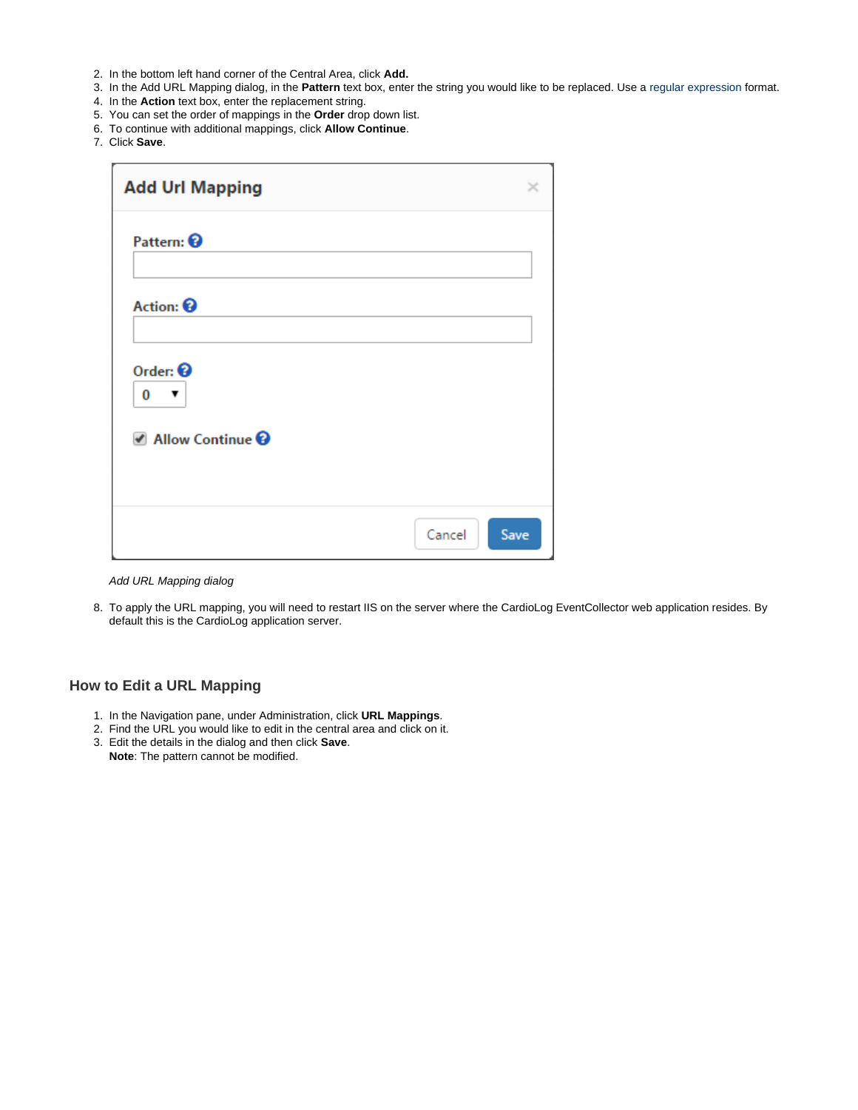- 2. In the bottom left hand corner of the Central Area, click **Add.**
- 3. In the Add URL Mapping dialog, in the **Pattern** text box, enter the string you would like to be replaced. Use a [regular expression](https://msdn.microsoft.com/en-us/library/az24scfc(v=vs.110).aspx) format.
- 4. In the **Action** text box, enter the replacement string.
- 5. You can set the order of mappings in the **Order** drop down list.
- 6. To continue with additional mappings, click **Allow Continue**.
- 7. Click **Save**.

| <b>Add Url Mapping</b>                                  |      |  |  |  |
|---------------------------------------------------------|------|--|--|--|
| Pattern: <sup>8</sup>                                   |      |  |  |  |
| Action: <sup>9</sup>                                    |      |  |  |  |
| Order: $\odot$<br>0<br>▼<br>Allow Continue <sup>@</sup> |      |  |  |  |
| Cancel                                                  | Save |  |  |  |

Add URL Mapping dialog

8. To apply the URL mapping, you will need to restart IIS on the server where the CardioLog EventCollector web application resides. By default this is the CardioLog application server.

## <span id="page-1-0"></span>**How to Edit a URL Mapping**

- 1. In the Navigation pane, under Administration, click **URL Mappings**.
- 2. Find the URL you would like to edit in the central area and click on it.
- 3. Edit the details in the dialog and then click **Save**. **Note**: The pattern cannot be modified.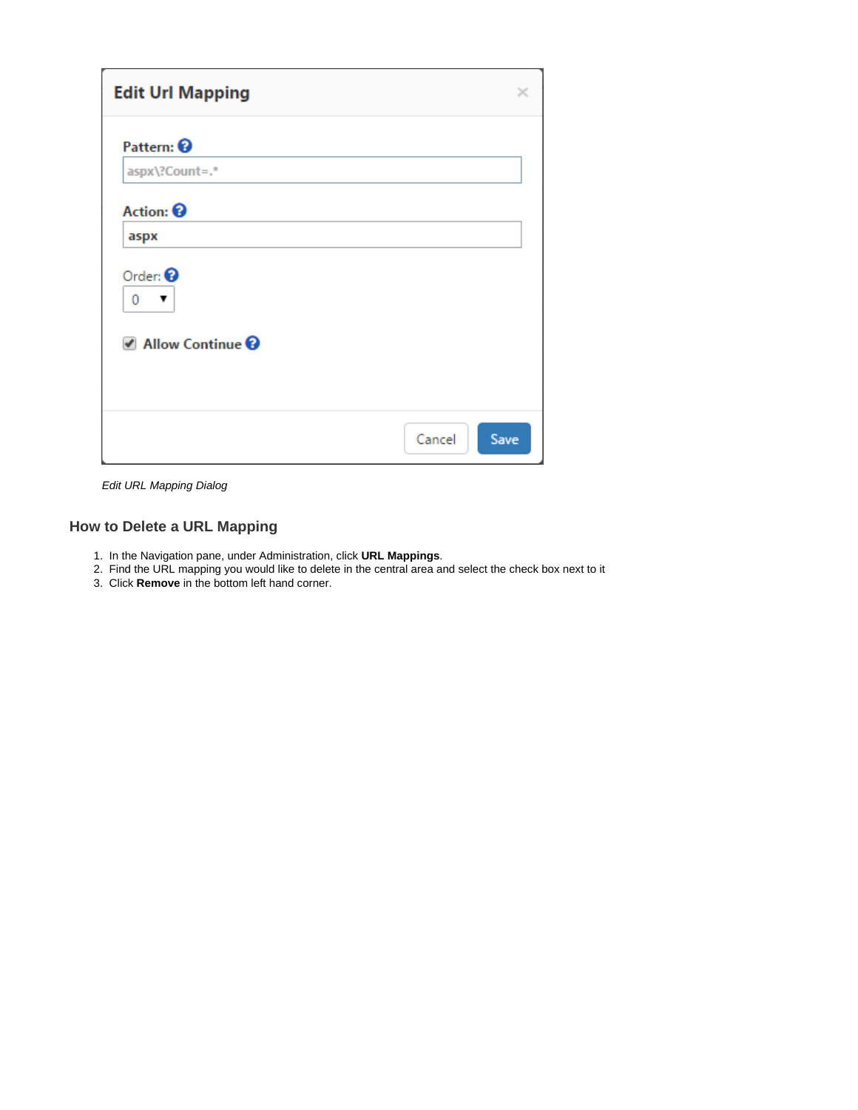| <b>Edit Url Mapping</b>                |      |  |  |  |
|----------------------------------------|------|--|--|--|
| Pattern: <sup>©</sup>                  |      |  |  |  |
| aspx\?Count=.*<br>Action: <sup>©</sup> |      |  |  |  |
| aspx                                   |      |  |  |  |
| Order: $\odot$<br>0<br>▼               |      |  |  |  |
| Allow Continue <sup>@</sup>            |      |  |  |  |
|                                        |      |  |  |  |
| Cancel                                 | Save |  |  |  |

Edit URL Mapping Dialog

## <span id="page-2-0"></span>**How to Delete a URL Mapping**

- 1. In the Navigation pane, under Administration, click **URL Mappings**.
- 2. Find the URL mapping you would like to delete in the central area and select the check box next to it
- 3. Click **Remove** in the bottom left hand corner.